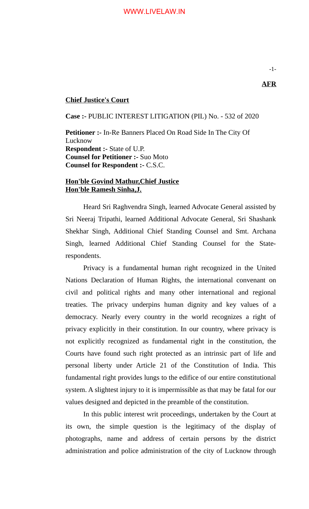# **Chief Justice's Court**

# **Case :-** PUBLIC INTEREST LITIGATION (PIL) No. - 532 of 2020

**Petitioner :-** In-Re Banners Placed On Road Side In The City Of Lucknow **Respondent :-** State of U.P. **Counsel for Petitioner :-** Suo Moto **Counsel for Respondent :-** C.S.C.

# **Hon'ble Govind Mathur,Chief Justice Hon'ble Ramesh Sinha,J.**

Heard Sri Raghvendra Singh, learned Advocate General assisted by Sri Neeraj Tripathi, learned Additional Advocate General, Sri Shashank Shekhar Singh, Additional Chief Standing Counsel and Smt. Archana Singh, learned Additional Chief Standing Counsel for the Staterespondents.

Privacy is a fundamental human right recognized in the United Nations Declaration of Human Rights, the international convenant on civil and political rights and many other international and regional treaties. The privacy underpins human dignity and key values of a democracy. Nearly every country in the world recognizes a right of privacy explicitly in their constitution. In our country, where privacy is not explicitly recognized as fundamental right in the constitution, the Courts have found such right protected as an intrinsic part of life and personal liberty under Article 21 of the Constitution of India. This fundamental right provides lungs to the edifice of our entire constitutional system. A slightest injury to it is impermissible as that may be fatal for our values designed and depicted in the preamble of the constitution.

In this public interest writ proceedings, undertaken by the Court at its own, the simple question is the legitimacy of the display of photographs, name and address of certain persons by the district administration and police administration of the city of Lucknow through

# **AFR**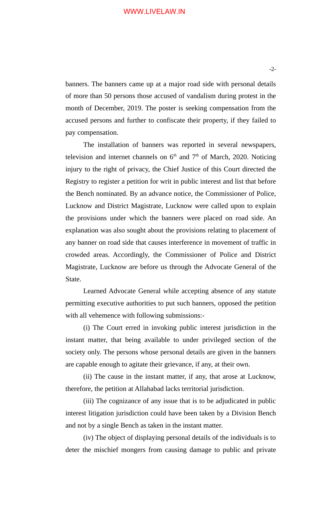banners. The banners came up at a major road side with personal details of more than 50 persons those accused of vandalism during protest in the month of December, 2019. The poster is seeking compensation from the accused persons and further to confiscate their property, if they failed to pay compensation.

The installation of banners was reported in several newspapers, television and internet channels on  $6<sup>th</sup>$  and  $7<sup>th</sup>$  of March, 2020. Noticing injury to the right of privacy, the Chief Justice of this Court directed the Registry to register a petition for writ in public interest and list that before the Bench nominated. By an advance notice, the Commissioner of Police, Lucknow and District Magistrate, Lucknow were called upon to explain the provisions under which the banners were placed on road side. An explanation was also sought about the provisions relating to placement of any banner on road side that causes interference in movement of traffic in crowded areas. Accordingly, the Commissioner of Police and District Magistrate, Lucknow are before us through the Advocate General of the State.

Learned Advocate General while accepting absence of any statute permitting executive authorities to put such banners, opposed the petition with all vehemence with following submissions:-

(i) The Court erred in invoking public interest jurisdiction in the instant matter, that being available to under privileged section of the society only. The persons whose personal details are given in the banners are capable enough to agitate their grievance, if any, at their own.

(ii) The cause in the instant matter, if any, that arose at Lucknow, therefore, the petition at Allahabad lacks territorial jurisdiction.

(iii) The cognizance of any issue that is to be adjudicated in public interest litigation jurisdiction could have been taken by a Division Bench and not by a single Bench as taken in the instant matter.

(iv) The object of displaying personal details of the individuals is to deter the mischief mongers from causing damage to public and private

-2-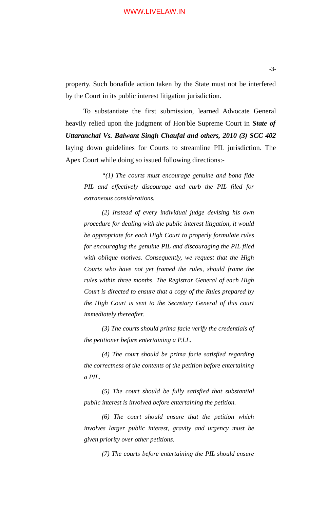property. Such bonafide action taken by the State must not be interfered by the Court in its public interest litigation jurisdiction.

To substantiate the first submission, learned Advocate General heavily relied upon the judgment of Hon'ble Supreme Court in *State of Uttaranchal Vs. Balwant Singh Chaufal and others, 2010 (3) SCC 402* laying down guidelines for Courts to streamline PIL jurisdiction. The Apex Court while doing so issued following directions:-

*"(1) The courts must encourage genuine and bona fide PIL and effectively discourage and curb the PIL filed for extraneous considerations.* 

*(2) Instead of every individual judge devising his own procedure for dealing with the public interest litigation, it would be appropriate for each High Court to properly formulate rules for encouraging the genuine PIL and discouraging the PIL filed with oblique motives. Consequently, we request that the High Courts who have not yet framed the rules, should frame the rules within three months. The Registrar General of each High Court is directed to ensure that a copy of the Rules prepared by the High Court is sent to the Secretary General of this court immediately thereafter.* 

*(3) The courts should prima facie verify the credentials of the petitioner before entertaining a P.I.L.* 

*(4) The court should be prima facie satisfied regarding the correctness of the contents of the petition before entertaining a PIL.* 

*(5) The court should be fully satisfied that substantial public interest is involved before entertaining the petition.* 

*(6) The court should ensure that the petition which involves larger public interest, gravity and urgency must be given priority over other petitions.* 

*(7) The courts before entertaining the PIL should ensure*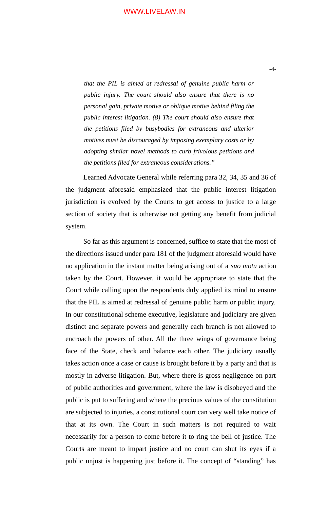*that the PIL is aimed at redressal of genuine public harm or public injury. The court should also ensure that there is no personal gain, private motive or oblique motive behind filing the public interest litigation. (8) The court should also ensure that the petitions filed by busybodies for extraneous and ulterior motives must be discouraged by imposing exemplary costs or by adopting similar novel methods to curb frivolous petitions and the petitions filed for extraneous considerations."*

Learned Advocate General while referring para 32, 34, 35 and 36 of the judgment aforesaid emphasized that the public interest litigation jurisdiction is evolved by the Courts to get access to justice to a large section of society that is otherwise not getting any benefit from judicial system.

So far as this argument is concerned, suffice to state that the most of the directions issued under para 181 of the judgment aforesaid would have no application in the instant matter being arising out of a *suo motu* action taken by the Court. However, it would be appropriate to state that the Court while calling upon the respondents duly applied its mind to ensure that the PIL is aimed at redressal of genuine public harm or public injury. In our constitutional scheme executive, legislature and judiciary are given distinct and separate powers and generally each branch is not allowed to encroach the powers of other. All the three wings of governance being face of the State, check and balance each other. The judiciary usually takes action once a case or cause is brought before it by a party and that is mostly in adverse litigation. But, where there is gross negligence on part of public authorities and government, where the law is disobeyed and the public is put to suffering and where the precious values of the constitution are subjected to injuries, a constitutional court can very well take notice of that at its own. The Court in such matters is not required to wait necessarily for a person to come before it to ring the bell of justice. The Courts are meant to impart justice and no court can shut its eyes if a public unjust is happening just before it. The concept of "standing" has

-4-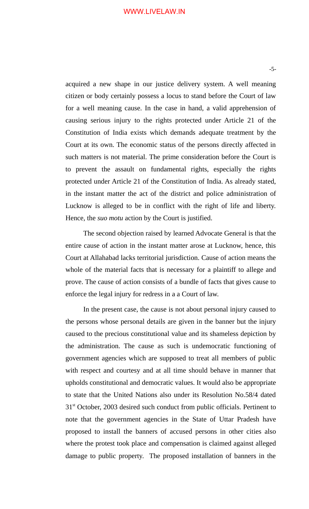acquired a new shape in our justice delivery system. A well meaning citizen or body certainly possess a locus to stand before the Court of law for a well meaning cause. In the case in hand, a valid apprehension of causing serious injury to the rights protected under Article 21 of the Constitution of India exists which demands adequate treatment by the Court at its own. The economic status of the persons directly affected in such matters is not material. The prime consideration before the Court is to prevent the assault on fundamental rights, especially the rights protected under Article 21 of the Constitution of India. As already stated, in the instant matter the act of the district and police administration of Lucknow is alleged to be in conflict with the right of life and liberty. Hence, the *suo motu* action by the Court is justified.

The second objection raised by learned Advocate General is that the entire cause of action in the instant matter arose at Lucknow, hence, this Court at Allahabad lacks territorial jurisdiction. Cause of action means the whole of the material facts that is necessary for a plaintiff to allege and prove. The cause of action consists of a bundle of facts that gives cause to enforce the legal injury for redress in a a Court of law.

In the present case, the cause is not about personal injury caused to the persons whose personal details are given in the banner but the injury caused to the precious constitutional value and its shameless depiction by the administration. The cause as such is undemocratic functioning of government agencies which are supposed to treat all members of public with respect and courtesy and at all time should behave in manner that upholds constitutional and democratic values. It would also be appropriate to state that the United Nations also under its Resolution No.58/4 dated 31<sup>st</sup> October, 2003 desired such conduct from public officials. Pertinent to note that the government agencies in the State of Uttar Pradesh have proposed to install the banners of accused persons in other cities also where the protest took place and compensation is claimed against alleged damage to public property. The proposed installation of banners in the

-5-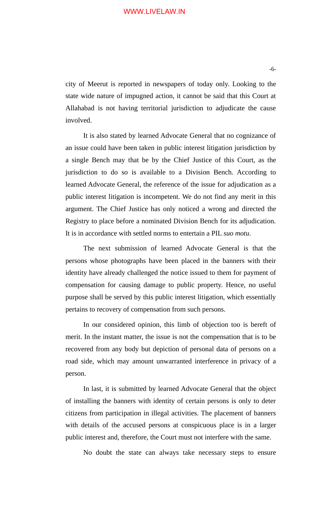city of Meerut is reported in newspapers of today only. Looking to the state wide nature of impugned action, it cannot be said that this Court at Allahabad is not having territorial jurisdiction to adjudicate the cause involved.

It is also stated by learned Advocate General that no cognizance of an issue could have been taken in public interest litigation jurisdiction by a single Bench may that be by the Chief Justice of this Court, as the jurisdiction to do so is available to a Division Bench. According to learned Advocate General, the reference of the issue for adjudication as a public interest litigation is incompetent. We do not find any merit in this argument. The Chief Justice has only noticed a wrong and directed the Registry to place before a nominated Division Bench for its adjudication. It is in accordance with settled norms to entertain a PIL *suo motu*.

The next submission of learned Advocate General is that the persons whose photographs have been placed in the banners with their identity have already challenged the notice issued to them for payment of compensation for causing damage to public property. Hence, no useful purpose shall be served by this public interest litigation, which essentially pertains to recovery of compensation from such persons.

In our considered opinion, this limb of objection too is bereft of merit. In the instant matter, the issue is not the compensation that is to be recovered from any body but depiction of personal data of persons on a road side, which may amount unwarranted interference in privacy of a person.

In last, it is submitted by learned Advocate General that the object of installing the banners with identity of certain persons is only to deter citizens from participation in illegal activities. The placement of banners with details of the accused persons at conspicuous place is in a larger public interest and, therefore, the Court must not interfere with the same.

No doubt the state can always take necessary steps to ensure

-6-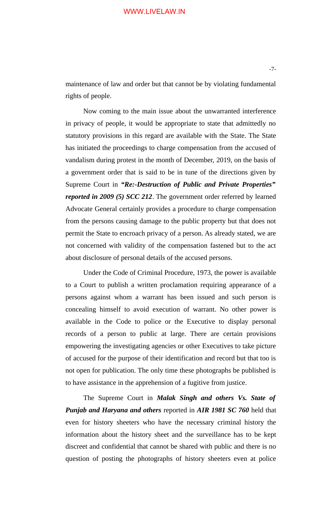maintenance of law and order but that cannot be by violating fundamental rights of people.

Now coming to the main issue about the unwarranted interference in privacy of people, it would be appropriate to state that admittedly no statutory provisions in this regard are available with the State. The State has initiated the proceedings to charge compensation from the accused of vandalism during protest in the month of December, 2019, on the basis of a government order that is said to be in tune of the directions given by Supreme Court in *"Re:-Destruction of Public and Private Properties" reported in 2009 (5) SCC 212*. The government order referred by learned Advocate General certainly provides a procedure to charge compensation from the persons causing damage to the public property but that does not permit the State to encroach privacy of a person. As already stated, we are not concerned with validity of the compensation fastened but to the act about disclosure of personal details of the accused persons.

Under the Code of Criminal Procedure, 1973, the power is available to a Court to publish a written proclamation requiring appearance of a persons against whom a warrant has been issued and such person is concealing himself to avoid execution of warrant. No other power is available in the Code to police or the Executive to display personal records of a person to public at large. There are certain provisions empowering the investigating agencies or other Executives to take picture of accused for the purpose of their identification and record but that too is not open for publication. The only time these photographs be published is to have assistance in the apprehension of a fugitive from justice.

The Supreme Court in *Malak Singh and others Vs. State of Punjab and Haryana and others* reported in *AIR 1981 SC 760* held that even for history sheeters who have the necessary criminal history the information about the history sheet and the surveillance has to be kept discreet and confidential that cannot be shared with public and there is no question of posting the photographs of history sheeters even at police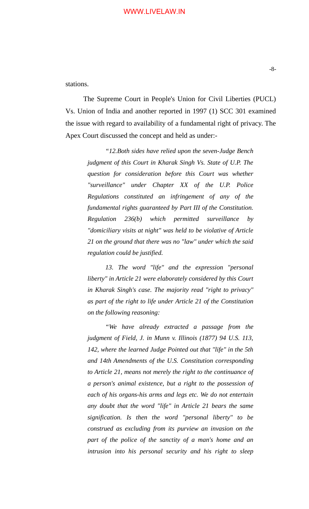### stations.

The Supreme Court in People's Union for Civil Liberties (PUCL) Vs. Union of India and another reported in 1997 (1) SCC 301 examined the issue with regard to availability of a fundamental right of privacy. The Apex Court discussed the concept and held as under:-

*"12.Both sides have relied upon the seven-Judge Bench judgment of this Court in Kharak Singh Vs. State of U.P. The question for consideration before this Court was whether "surveillance" under Chapter XX of the U.P. Police Regulations constituted an infringement of any of the fundamental rights guaranteed by Part III of the Constitution. Regulation 236(b) which permitted surveillance by "domiciliary visits at night" was held to be violative of Article 21 on the ground that there was no "law" under which the said regulation could be justified.* 

*13. The word "life" and the expression "personal liberty" in Article 21 were elaborately considered by this Court in Kharak Singh's case. The majority read "right to privacy" as part of the right to life under Article 21 of the Constitution on the following reasoning:* 

*"We have already extracted a passage from the judgment of Field, J. in Munn v. Illinois (1877) 94 U.S. 113, 142, where the learned Judge Pointed out that "life" in the 5th and 14th Amendments of the U.S. Constitution corresponding to Article 21, means not merely the right to the continuance of a person's animal existence, but a right to the possession of each of his organs-his arms and legs etc. We do not entertain any doubt that the word "life" in Article 21 bears the same signification. Is then the word "personal liberty" to be construed as excluding from its purview an invasion on the part of the police of the sanctity of a man's home and an intrusion into his personal security and his right to sleep*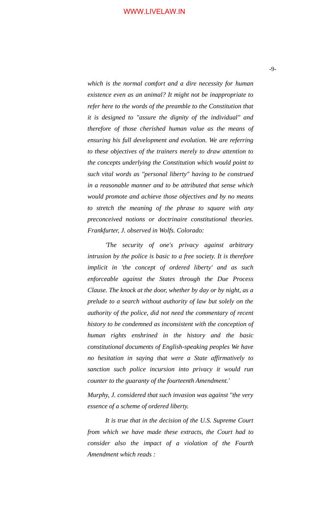*which is the normal comfort and a dire necessity for human existence even as an animal? It might not be inappropriate to refer here to the words of the preamble to the Constitution that it is designed to "assure the dignity of the individual" and therefore of those cherished human value as the means of ensuring his full development and evolution. We are referring to these objectives of the trainers merely to draw attention to the concepts underlying the Constitution which would point to such vital words as "personal liberty" having to be construed in a reasonable manner and to be attributed that sense which would promote and achieve those objectives and by no means to stretch the meaning of the phrase to square with any preconceived notions or doctrinaire constitutional theories. Frankfurter, J. observed in Wolfs. Colorado:*

*'The security of one's privacy against arbitrary intrusion by the police is basic to a free society. It is therefore implicit in 'the concept of ordered liberty' and as such enforceable against the States through the Due Process Clause. The knock at the door, whether by day or by night, as a prelude to a search without authority of law but solely on the authority of the police, did not need the commentary of recent history to be condemned as inconsistent with the conception of human rights enshrined in the history and the basic constitutional documents of English-speaking peoples We have no hesitation in saying that were a State affirmatively to sanction such police incursion into privacy it would run counter to the guaranty of the fourteenth Amendment.'*

*Murphy, J. considered that such invasion was against "the very essence of a scheme of ordered liberty.* 

*It is true that in the decision of the U.S. Supreme Court from which we have made these extracts, the Court had to consider also the impact of a violation of the Fourth Amendment which reads :*

-9-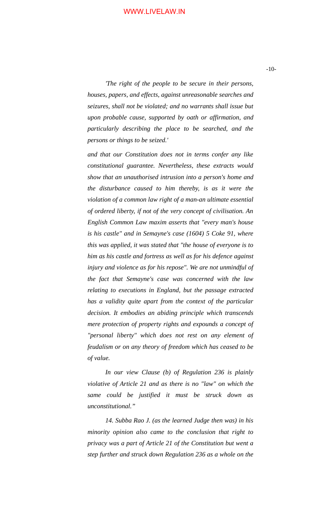*'The right of the people to be secure in their persons, houses, papers, and effects, against unreasonable searches and seizures, shall not be violated; and no warrants shall issue but upon probable cause, supported by oath or affirmation, and particularly describing the place to be searched, and the persons or things to be seized.'*

*and that our Constitution does not in terms confer any like constitutional guarantee. Nevertheless, these extracts would show that an unauthorised intrusion into a person's home and the disturbance caused to him thereby, is as it were the violation of a common law right of a man-an ultimate essential of ordered liberty, if not of the very concept of civilisation. An English Common Law maxim asserts that "every man's house is his castle" and in Semayne's case (1604) 5 Coke 91, where this was applied, it was stated that "the house of everyone is to him as his castle and fortress as well as for his defence against injury and violence as for his repose". We are not unmindful of the fact that Semayne's case was concerned with the law relating to executions in England, but the passage extracted has a validity quite apart from the context of the particular decision. It embodies an abiding principle which transcends mere protection of property rights and expounds a concept of "personal liberty" which does not rest on any element of feudalism or on any theory of freedom which has ceased to be of value.* 

*In our view Clause (b) of Regulation 236 is plainly violative of Article 21 and as there is no "law" on which the same could be justified it must be struck down as unconstitutional."* 

*14. Subba Rao J. (as the learned Judge then was) in his minority opinion also came to the conclusion that right to privacy was a part of Article 21 of the Constitution but went a step further and struck down Regulation 236 as a whole on the* -10-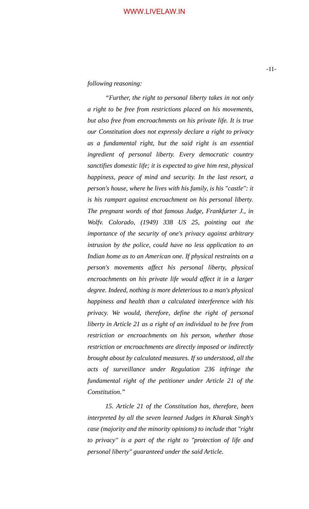#### *following reasoning:*

*"Further, the right to personal liberty takes in not only a right to be free from restrictions placed on his movements, but also free from encroachments on his private life. It is true our Constitution does not expressly declare a right to privacy as a fundamental right, but the said right is an essential ingredient of personal liberty. Every democratic country sanctifies domestic life; it is expected to give him rest, physical happiness, peace of mind and security. In the last resort, a person's house, where he lives with his family, is his "castle": it is his rampart against encroachment on his personal liberty. The pregnant words of that famous Judge, Frankfurter J., in Wolfv. Colorado, (1949) 338 US 25, pointing out the importance of the security of one's privacy against arbitrary intrusion by the police, could have no less application to an Indian home as to an American one. If physical restraints on a person's movements affect his personal liberty, physical encroachments on his private life would affect it in a larger degree. Indeed, nothing is more deleterious to a man's physical happiness and health than a calculated interference with his privacy. We would, therefore, define the right of personal liberty in Article 21 as a right of an individual to be free from restriction or encroachments on his person, whether those restriction or encroachments are directly imposed or indirectly brought about by calculated measures. If so understood, all the acts of surveillance under Regulation 236 infringe the fundamental right of the petitioner under Article 21 of the Constitution."* 

*15. Article 21 of the Constitution has, therefore, been interpreted by all the seven learned Judges in Kharak Singh's case (majority and the minority opinions) to include that "right to privacy" is a part of the right to "protection of life and personal liberty" guaranteed under the said Article.*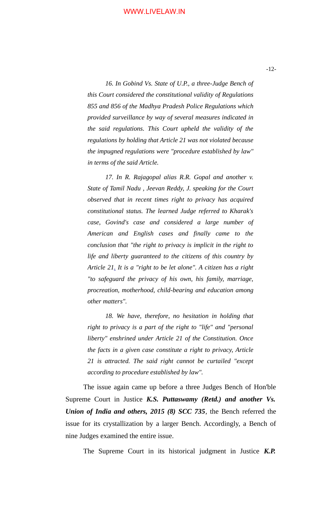*16. In Gobind Vs. State of U.P., a three-Judge Bench of this Court considered the constitutional validity of Regulations 855 and 856 of the Madhya Pradesh Police Regulations which provided surveillance by way of several measures indicated in the said regulations. This Court upheld the validity of the regulations by holding that Article 21 was not violated because the impugned regulations were "procedure established by law" in terms of the said Article.* 

*17. In R. Rajagopal alias R.R. Gopal and another v. State of Tamil Nadu , Jeevan Reddy, J. speaking for the Court observed that in recent times right to privacy has acquired constitutional status. The learned Judge referred to Kharak's case, Govind's case and considered a large number of American and English cases and finally came to the conclusion that "the right to privacy is implicit in the right to life and liberty guaranteed to the citizens of this country by Article 2[1.](https://indiankanoon.org/doc/1199182/) It is a "right to be let alone". A citizen has a right "to safeguard the privacy of his own, his family, marriage, procreation, motherhood, child-bearing and education among other matters".* 

*18. We have, therefore, no hesitation in holding that right to privacy is a part of the right to "life" and "personal liberty" enshrined under Article 21 of the Constitution. Once the facts in a given case constitute a right to privacy, Article 21 is attracted. The said right cannot be curtailed "except according to procedure established by law".* 

The issue again came up before a three Judges Bench of Hon'ble Supreme Court in Justice *K.S. Puttaswamy (Retd.) and another Vs. Union of India and others, 2015 (8) SCC 735*, the Bench referred the issue for its crystallization by a larger Bench. Accordingly, a Bench of nine Judges examined the entire issue.

The Supreme Court in its historical judgment in Justice *K.P.*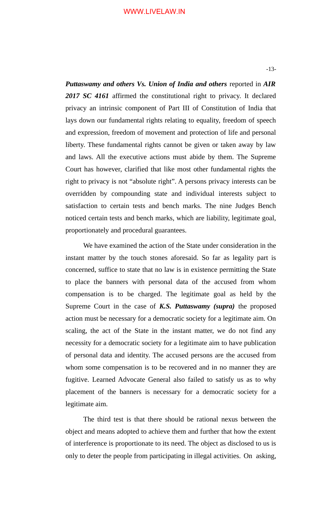-13-

*Puttaswamy and others Vs. Union of India and others* reported in *AIR 2017 SC 4161* affirmed the constitutional right to privacy. It declared privacy an intrinsic component of Part III of Constitution of India that lays down our fundamental rights relating to equality, freedom of speech and expression, freedom of movement and protection of life and personal liberty. These fundamental rights cannot be given or taken away by law and laws. All the executive actions must abide by them. The Supreme Court has however, clarified that like most other fundamental rights the right to privacy is not "absolute right". A persons privacy interests can be overridden by compounding state and individual interests subject to satisfaction to certain tests and bench marks. The nine Judges Bench noticed certain tests and bench marks, which are liability, legitimate goal, proportionately and procedural guarantees.

We have examined the action of the State under consideration in the instant matter by the touch stones aforesaid. So far as legality part is concerned, suffice to state that no law is in existence permitting the State to place the banners with personal data of the accused from whom compensation is to be charged. The legitimate goal as held by the Supreme Court in the case of *K.S. Puttaswamy (supra)* the proposed action must be necessary for a democratic society for a legitimate aim. On scaling, the act of the State in the instant matter, we do not find any necessity for a democratic society for a legitimate aim to have publication of personal data and identity. The accused persons are the accused from whom some compensation is to be recovered and in no manner they are fugitive. Learned Advocate General also failed to satisfy us as to why placement of the banners is necessary for a democratic society for a legitimate aim.

The third test is that there should be rational nexus between the object and means adopted to achieve them and further that how the extent of interference is proportionate to its need. The object as disclosed to us is only to deter the people from participating in illegal activities. On asking,